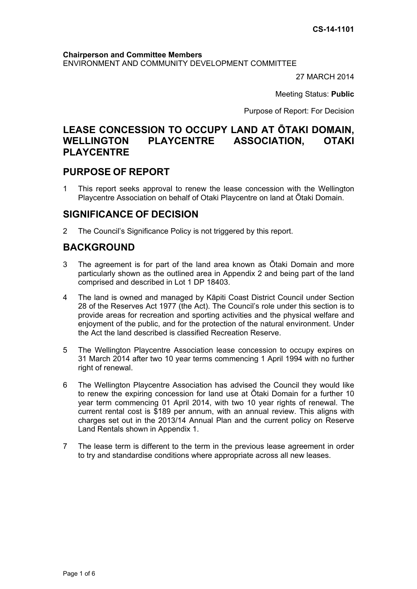#### **Chairperson and Committee Members** ENVIRONMENT AND COMMUNITY DEVELOPMENT COMMITTEE

27 MARCH 2014

Meeting Status: **Public**

Purpose of Report: For Decision

## **LEASE CONCESSION TO OCCUPY LAND AT ŌTAKI DOMAIN, WELLINGTON PLAYCENTRE ASSOCIATION, OTAKI PLAYCENTRE**

## **PURPOSE OF REPORT**

1 This report seeks approval to renew the lease concession with the Wellington Playcentre Association on behalf of Otaki Playcentre on land at Ōtaki Domain.

## **SIGNIFICANCE OF DECISION**

2 The Council's Significance Policy is not triggered by this report.

## **BACKGROUND**

- 3 The agreement is for part of the land area known as Ōtaki Domain and more particularly shown as the outlined area in Appendix 2 and being part of the land comprised and described in Lot 1 DP 18403.
- 4 The land is owned and managed by Kāpiti Coast District Council under Section 28 of the Reserves Act 1977 (the Act). The Council's role under this section is to provide areas for recreation and sporting activities and the physical welfare and enjoyment of the public, and for the protection of the natural environment. Under the Act the land described is classified Recreation Reserve.
- 5 The Wellington Playcentre Association lease concession to occupy expires on 31 March 2014 after two 10 year terms commencing 1 April 1994 with no further right of renewal.
- 6 The Wellington Playcentre Association has advised the Council they would like to renew the expiring concession for land use at Ōtaki Domain for a further 10 year term commencing 01 April 2014, with two 10 year rights of renewal. The current rental cost is \$189 per annum, with an annual review. This aligns with charges set out in the 2013/14 Annual Plan and the current policy on Reserve Land Rentals shown in Appendix 1.
- 7 The lease term is different to the term in the previous lease agreement in order to try and standardise conditions where appropriate across all new leases.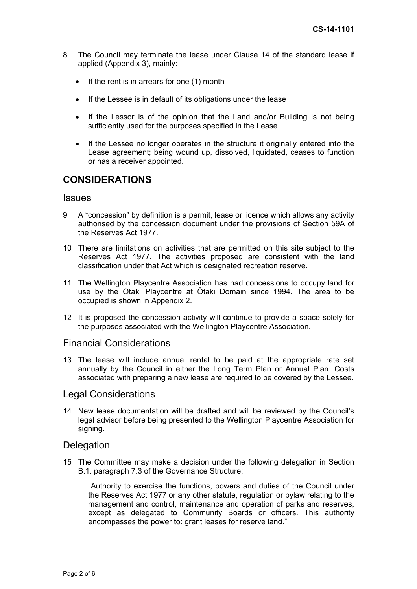- 8 The Council may terminate the lease under Clause 14 of the standard lease if applied (Appendix 3), mainly:
	- $\bullet$  If the rent is in arrears for one (1) month
	- If the Lessee is in default of its obligations under the lease
	- If the Lessor is of the opinion that the Land and/or Building is not being sufficiently used for the purposes specified in the Lease
	- If the Lessee no longer operates in the structure it originally entered into the Lease agreement; being wound up, dissolved, liquidated, ceases to function or has a receiver appointed.

## **CONSIDERATIONS**

#### **Issues**

- 9 A "concession" by definition is a permit, lease or licence which allows any activity authorised by the concession document under the provisions of Section 59A of the Reserves Act 1977.
- 10 There are limitations on activities that are permitted on this site subject to the Reserves Act 1977. The activities proposed are consistent with the land classification under that Act which is designated recreation reserve.
- 11 The Wellington Playcentre Association has had concessions to occupy land for use by the Otaki Playcentre at Ōtaki Domain since 1994. The area to be occupied is shown in Appendix 2.
- 12 It is proposed the concession activity will continue to provide a space solely for the purposes associated with the Wellington Playcentre Association.

#### Financial Considerations

13 The lease will include annual rental to be paid at the appropriate rate set annually by the Council in either the Long Term Plan or Annual Plan. Costs associated with preparing a new lease are required to be covered by the Lessee.

#### Legal Considerations

14 New lease documentation will be drafted and will be reviewed by the Council's legal advisor before being presented to the Wellington Playcentre Association for signing.

#### **Delegation**

15 The Committee may make a decision under the following delegation in Section B.1. paragraph 7.3 of the Governance Structure:

 "Authority to exercise the functions, powers and duties of the Council under the Reserves Act 1977 or any other statute, regulation or bylaw relating to the management and control, maintenance and operation of parks and reserves, except as delegated to Community Boards or officers. This authority encompasses the power to: grant leases for reserve land."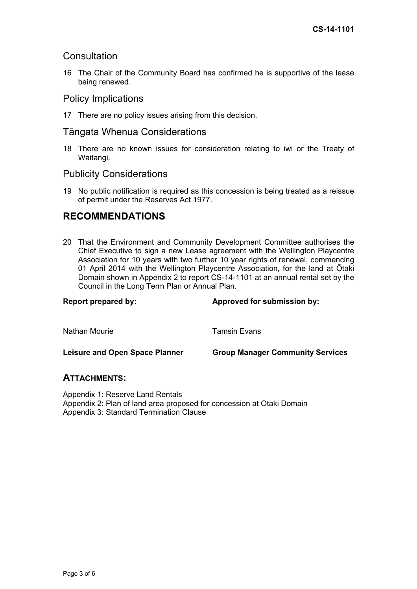## **Consultation**

16 The Chair of the Community Board has confirmed he is supportive of the lease being renewed.

## Policy Implications

17 There are no policy issues arising from this decision.

## Tāngata Whenua Considerations

18 There are no known issues for consideration relating to iwi or the Treaty of Waitangi.

#### Publicity Considerations

19 No public notification is required as this concession is being treated as a reissue of permit under the Reserves Act 1977.

## **RECOMMENDATIONS**

20 That the Environment and Community Development Committee authorises the Chief Executive to sign a new Lease agreement with the Wellington Playcentre Association for 10 years with two further 10 year rights of renewal, commencing 01 April 2014 with the Wellington Playcentre Association, for the land at Ōtaki Domain shown in Appendix 2 to report CS-14-1101 at an annual rental set by the Council in the Long Term Plan or Annual Plan.

# Report prepared by: **Approved for submission by:**  $\blacksquare$ Nathan Mourie **Tamsin Evans**

Leisure and Open Space Planner **Group Manager Community Services** 

#### **ATTACHMENTS:**

Appendix 1: Reserve Land Rentals Appendix 2: Plan of land area proposed for concession at Otaki Domain Appendix 3: Standard Termination Clause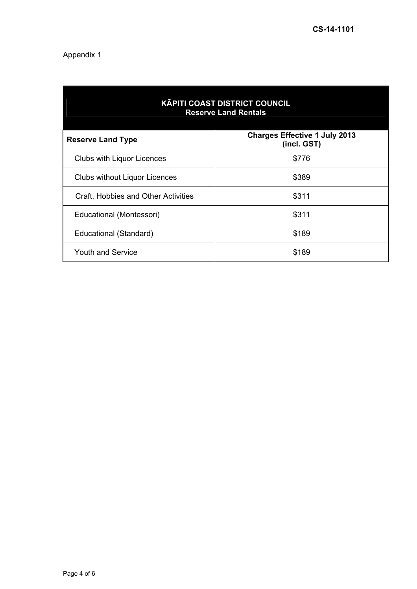## Appendix 1

| <b>KĀPITI COAST DISTRICT COUNCIL</b><br><b>Reserve Land Rentals</b> |                                                     |
|---------------------------------------------------------------------|-----------------------------------------------------|
| <b>Reserve Land Type</b>                                            | <b>Charges Effective 1 July 2013</b><br>(incl. GST) |
| Clubs with Liquor Licences                                          | \$776                                               |
| <b>Clubs without Liquor Licences</b>                                | \$389                                               |
| Craft, Hobbies and Other Activities                                 | \$311                                               |
| Educational (Montessori)                                            | \$311                                               |
| Educational (Standard)                                              | \$189                                               |
| <b>Youth and Service</b>                                            | \$189                                               |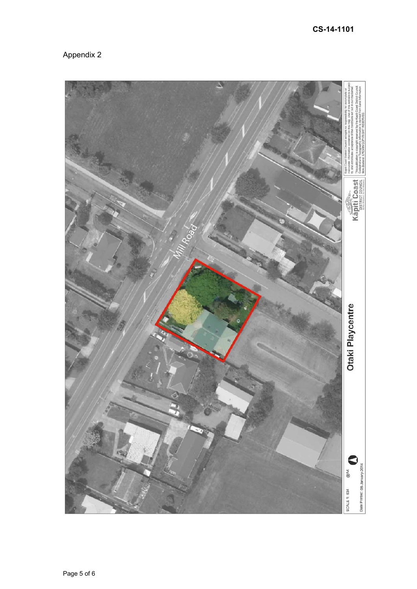